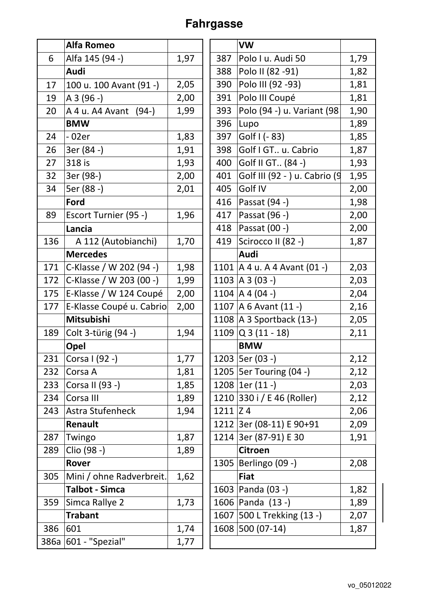## **Fahrgasse**

| 1,79<br>6<br>Alfa 145 (94 -)<br>1,97<br>Polo I u. Audi 50<br>387<br>Polo II (82 - 91)<br>Audi<br>1,82<br>388<br>2,05<br>Polo III (92 - 93)<br>1,81<br>390<br>17<br>100 u. 100 Avant (91 -)<br>Polo III Coupé<br>1,81<br>2,00<br>A 3 (96 -)<br>391<br>19<br>Polo (94 -) u. Variant (98)<br>1,99<br>393<br>1,90<br>20<br>A 4 u. A 4A vant (94-)<br>1,89<br><b>BMW</b><br>396<br>Lupo<br>1,83<br>Golf $( - 83)$<br>$-02er$<br>397<br>1,85<br>24<br>Golf I GT u. Cabrio<br>3er (84 -)<br>1,91<br>1,87<br>26<br>398 |
|----------------------------------------------------------------------------------------------------------------------------------------------------------------------------------------------------------------------------------------------------------------------------------------------------------------------------------------------------------------------------------------------------------------------------------------------------------------------------------------------------------------|
|                                                                                                                                                                                                                                                                                                                                                                                                                                                                                                                |
|                                                                                                                                                                                                                                                                                                                                                                                                                                                                                                                |
|                                                                                                                                                                                                                                                                                                                                                                                                                                                                                                                |
|                                                                                                                                                                                                                                                                                                                                                                                                                                                                                                                |
|                                                                                                                                                                                                                                                                                                                                                                                                                                                                                                                |
|                                                                                                                                                                                                                                                                                                                                                                                                                                                                                                                |
|                                                                                                                                                                                                                                                                                                                                                                                                                                                                                                                |
|                                                                                                                                                                                                                                                                                                                                                                                                                                                                                                                |
| 27<br>318 is<br>Golf II GT (84 -)<br>1,93<br>400<br>1,93                                                                                                                                                                                                                                                                                                                                                                                                                                                       |
| 32<br>3er (98-)<br>2,00<br>Golf III (92 - ) u. Cabrio (9<br>1,95<br>401                                                                                                                                                                                                                                                                                                                                                                                                                                        |
| 34<br>5er (88 -)<br>Golf IV<br>2,01<br>405<br>2,00                                                                                                                                                                                                                                                                                                                                                                                                                                                             |
| Ford<br>1,98<br>416<br>Passat (94 -)                                                                                                                                                                                                                                                                                                                                                                                                                                                                           |
| 89<br>417<br>Passat (96 -)<br>Escort Turnier (95 -)<br>1,96<br>2,00                                                                                                                                                                                                                                                                                                                                                                                                                                            |
| Passat (00 -)<br>2,00<br>418<br>Lancia                                                                                                                                                                                                                                                                                                                                                                                                                                                                         |
| 136<br>1,70<br>Scirocco II (82 -)<br>A 112 (Autobianchi)<br>419<br>1,87                                                                                                                                                                                                                                                                                                                                                                                                                                        |
| <b>Mercedes</b><br>Audi                                                                                                                                                                                                                                                                                                                                                                                                                                                                                        |
| 1101   A 4 u. A 4 Avant (01 -)<br>171<br>1,98<br>2,03<br>C-Klasse / W 202 (94 -)                                                                                                                                                                                                                                                                                                                                                                                                                               |
| 1103   A 3 (03 -)<br>C-Klasse / W 203 (00 -)<br>2,03<br>172<br>1,99                                                                                                                                                                                                                                                                                                                                                                                                                                            |
| 1104   A 4 (04 -)<br>175<br>E-Klasse / W 124 Coupé<br>2,00<br>2,04                                                                                                                                                                                                                                                                                                                                                                                                                                             |
| 1107   A 6 Avant $(11 - )$<br>E-Klasse Coupé u. Cabrio<br>177<br>2,00<br>2,16                                                                                                                                                                                                                                                                                                                                                                                                                                  |
| Mitsubishi<br>1108   A 3 Sportback (13-)<br>2,05                                                                                                                                                                                                                                                                                                                                                                                                                                                               |
| 1109 $\vert$ Q 3 (11 - 18)<br>Colt 3-türig (94 -)<br>1,94<br>189<br>2,11                                                                                                                                                                                                                                                                                                                                                                                                                                       |
| <b>BMW</b><br>Opel                                                                                                                                                                                                                                                                                                                                                                                                                                                                                             |
| 1203   5er (03 -)<br>1,77<br>2,12<br>231<br>Corsa I (92 -)                                                                                                                                                                                                                                                                                                                                                                                                                                                     |
| 1205   5er Touring (04 -)<br>2,12<br>232<br>1,81<br>Corsa A                                                                                                                                                                                                                                                                                                                                                                                                                                                    |
| 1208 $ 1er(11 -)$<br>Corsa II (93 -)<br>1,85<br>233<br>2,03                                                                                                                                                                                                                                                                                                                                                                                                                                                    |
| 1210 330 i / E 46 (Roller)<br>Corsa III<br>1,89<br>2,12<br>234                                                                                                                                                                                                                                                                                                                                                                                                                                                 |
| Astra Stufenheck<br>$1211$ $Z$ 4<br>243<br>1,94<br>2,06                                                                                                                                                                                                                                                                                                                                                                                                                                                        |
| 1212 3er (08-11) E 90+91<br>Renault<br>2,09                                                                                                                                                                                                                                                                                                                                                                                                                                                                    |
| 1214 3er (87-91) E 30<br>1,87<br>1,91<br>287<br>Twingo                                                                                                                                                                                                                                                                                                                                                                                                                                                         |
| Clio (98 -)<br>289<br>1,89<br><b>Citroen</b>                                                                                                                                                                                                                                                                                                                                                                                                                                                                   |
| 1305   Berlingo (09 -)<br>2,08<br>Rover                                                                                                                                                                                                                                                                                                                                                                                                                                                                        |
| 1,62<br>305<br>Mini / ohne Radverbreit.<br><b>Fiat</b>                                                                                                                                                                                                                                                                                                                                                                                                                                                         |
| 1,82<br><b>Talbot - Simca</b><br>1603   Panda (03 -)                                                                                                                                                                                                                                                                                                                                                                                                                                                           |
| 1606 Panda (13 -)<br>Simca Rallye 2<br>1,73<br>1,89<br>359                                                                                                                                                                                                                                                                                                                                                                                                                                                     |
| 1607 500 L Trekking (13 -)<br>2,07<br><b>Trabant</b>                                                                                                                                                                                                                                                                                                                                                                                                                                                           |
| 1608 500 (07-14)<br>601<br>386<br>1,74<br>1,87                                                                                                                                                                                                                                                                                                                                                                                                                                                                 |
| 386a 601 - "Spezial"<br>1,77                                                                                                                                                                                                                                                                                                                                                                                                                                                                                   |

|      | <b>VW</b>                        |      |
|------|----------------------------------|------|
| 387  | Polo I u. Audi 50                | 1,79 |
| 388  | Polo II (82 -91)                 | 1,82 |
| 390  | Polo III (92 - 93)               | 1,81 |
| 391  | Polo III Coupé                   | 1,81 |
| 393  | Polo (94 -) u. Variant (98       | 1,90 |
| 396  | Lupo                             | 1,89 |
| 397  | Golf I (- 83)                    | 1,85 |
| 398  | Golf I GT u. Cabrio              | 1,87 |
| 400  | Golf II GT (84 -)                | 1,93 |
| 401  | Golf III (92 - ) u. Cabrio (9    | 1,95 |
| 405  | Golf IV                          | 2,00 |
| 416  | Passat (94 -)                    | 1,98 |
| 417  | Passat (96 -)                    | 2,00 |
| 418  | Passat (00 -)                    | 2,00 |
| 419  | Scirocco II (82 -)               | 1,87 |
|      | Audi                             |      |
|      | 1101   A 4 u. A 4 Avant $(01 -)$ | 2,03 |
| 1103 | $A \ 3 \ (03 -)$                 | 2,03 |
|      | 1104   A 4 (04 -)                | 2,04 |
|      | 1107   A 6 Avant $(11 - )$       | 2,16 |
|      | 1108   A 3 Sportback (13-)       | 2,05 |
|      | 1109 $\vert$ Q 3 (11 - 18)       | 2,11 |
|      | <b>BMW</b>                       |      |
| 1203 | 5er (03 -)                       | 2,12 |
|      | 1205   5er Touring (04 -)        | 2,12 |
| 1208 | $ 1er(11 -)$                     | 2,03 |
| 1210 | 330 i / E 46 (Roller)            | 2,12 |
| 1211 | Z <sub>4</sub>                   | 2,06 |
|      | 1212 3er (08-11) E 90+91         | 2,09 |
| 1214 | 3er (87-91) E 30                 | 1,91 |
|      | <b>Citroen</b>                   |      |
| 1305 | Berlingo (09 -)                  | 2,08 |
|      | <b>Fiat</b>                      |      |
| 1603 | Panda (03 -)                     | 1,82 |
| 1606 | Panda (13 -)                     | 1,89 |
| 1607 | 500 L Trekking (13 -)            | 2,07 |
| 1608 | 500 (07-14)                      | 1,87 |
|      |                                  |      |